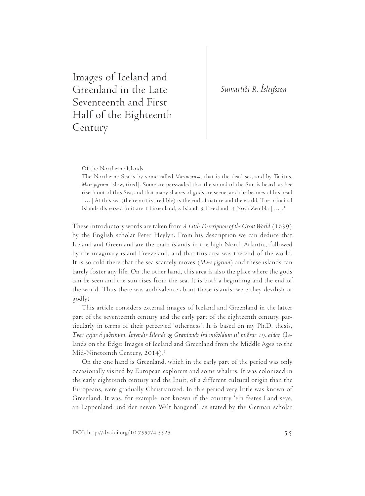# *Sumarliði R. Ísleifsson*

Images of Iceland and Greenland in the Late Seventeenth and First Half of the Eighteenth Century

Of the Northerne Islands

The Northerne Sea is by some called *Marimorusa*, that is the dead sea, and by Tacitus, *Mare pigrum* [slow, tired]*.* Some are perswaded that the sound of the Sun is heard, as hee riseth out of this Sea; and that many shapes of gods are seene, and the beames of his head [...] At this sea (the report is credible) is the end of nature and the world. The principal Islands dispersed in it are I Groenland, 2 Island, 3 Freezland, 4 Nova Zembla [...].<sup>1</sup>

These introductory words are taken from *A Little Description of the Great World* (1639) by the English scholar Peter Heylyn. From his description we can deduce that Iceland and Greenland are the main islands in the high North Atlantic, followed by the imaginary island Freezeland, and that this area was the end of the world. It is so cold there that the sea scarcely moves (*Mare pigrum*) and these islands can barely foster any life. On the other hand, this area is also the place where the gods can be seen and the sun rises from the sea. It is both a beginning and the end of the world. Thus there was ambivalence about these islands: were they devilish or godly?

This article considers external images of Iceland and Greenland in the latter part of the seventeenth century and the early part of the eighteenth century, particularly in terms of their perceived 'otherness'. It is based on my Ph.D. thesis, *Tvær eyjar á jaðrinum: Ímyndir Íslands og Grænlands frá miðöldum til miðrar 19. aldar* (Islands on the Edge: Images of Iceland and Greenland from the Middle Ages to the Mid-Nineteenth Century, 2014).<sup>2</sup>

On the one hand is Greenland, which in the early part of the period was only occasionally visited by European explorers and some whalers. It was colonized in the early eighteenth century and the Inuit, of a different cultural origin than the Europeans, were gradually Christianized. In this period very little was known of Greenland. It was, for example, not known if the country 'ein festes Land seye, an Lappenland und der newen Welt hangend', as stated by the German scholar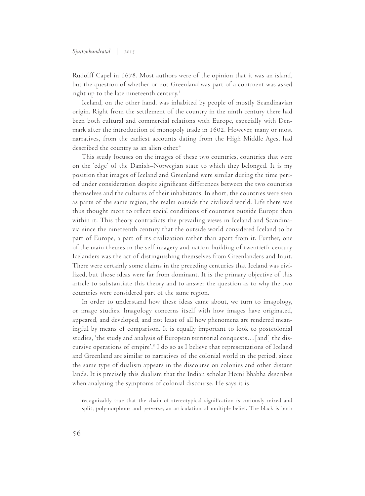Rudolff Capel in 1678. Most authors were of the opinion that it was an island, but the question of whether or not Greenland was part of a continent was asked right up to the late nineteenth century. $3$ 

Iceland, on the other hand, was inhabited by people of mostly Scandinavian origin. Right from the settlement of the country in the ninth century there had been both cultural and commercial relations with Europe, especially with Denmark after the introduction of monopoly trade in 1602. However, many or most narratives, from the earliest accounts dating from the High Middle Ages, had described the country as an alien other.<sup>4</sup>

This study focuses on the images of these two countries, countries that were on the 'edge' of the Danish–Norwegian state to which they belonged. It is my position that images of Iceland and Greenland were similar during the time period under consideration despite significant differences between the two countries themselves and the cultures of their inhabitants. In short, the countries were seen as parts of the same region, the realm outside the civilized world. Life there was thus thought more to reflect social conditions of countries outside Europe than within it. This theory contradicts the prevailing views in Iceland and Scandinavia since the nineteenth century that the outside world considered Iceland to be part of Europe, a part of its civilization rather than apart from it. Further, one of the main themes in the self-imagery and nation-building of twentieth-century Icelanders was the act of distinguishing themselves from Greenlanders and Inuit. There were certainly some claims in the preceding centuries that Iceland was civilized, but those ideas were far from dominant. It is the primary objective of this article to substantiate this theory and to answer the question as to why the two countries were considered part of the same region.

In order to understand how these ideas came about, we turn to imagology, or image studies. Imagology concerns itself with how images have originated, appeared, and developed, and not least of all how phenomena are rendered meaningful by means of comparison. It is equally important to look to postcolonial studies, 'the study and analysis of European territorial conquests…[and] the discursive operations of empire'.5 I do so as I believe that representations of Iceland and Greenland are similar to narratives of the colonial world in the period, since the same type of dualism appears in the discourse on colonies and other distant lands. It is precisely this dualism that the Indian scholar Homi Bhabha describes when analysing the symptoms of colonial discourse. He says it is

recognizably true that the chain of stereotypical signification is curiously mixed and split, polymorphous and perverse, an articulation of multiple belief. The black is both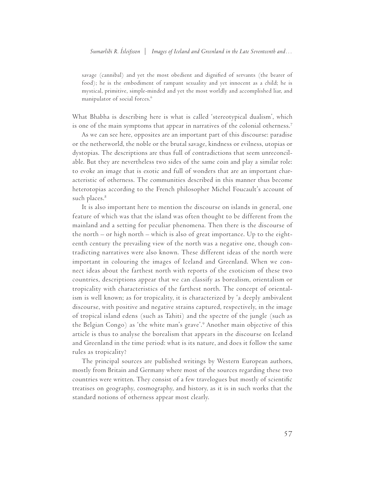savage (cannibal) and yet the most obedient and dignified of servants (the bearer of food); he is the embodiment of rampant sexuality and yet innocent as a child; he is mystical, primitive, simple-minded and yet the most worldly and accomplished liar, and manipulator of social forces.<sup>6</sup>

What Bhabha is describing here is what is called 'stereotypical dualism', which is one of the main symptoms that appear in narratives of the colonial otherness.7

As we can see here, opposites are an important part of this discourse: paradise or the netherworld, the noble or the brutal savage, kindness or evilness, utopias or dystopias. The descriptions are thus full of contradictions that seem unreconcilable. But they are nevertheless two sides of the same coin and play a similar role: to evoke an image that is exotic and full of wonders that are an important characteristic of otherness. The communities described in this manner thus become heterotopias according to the French philosopher Michel Foucault's account of such places.<sup>8</sup>

It is also important here to mention the discourse on islands in general, one feature of which was that the island was often thought to be different from the mainland and a setting for peculiar phenomena. Then there is the discourse of the north – or high north – which is also of great importance. Up to the eighteenth century the prevailing view of the north was a negative one, though contradicting narratives were also known. These different ideas of the north were important in colouring the images of Iceland and Greenland. When we connect ideas about the farthest north with reports of the exoticism of these two countries, descriptions appear that we can classify as borealism, orientalism or tropicality with characteristics of the farthest north. The concept of orientalism is well known; as for tropicality, it is characterized by 'a deeply ambivalent discourse, with positive and negative strains captured, respectively, in the image of tropical island edens (such as Tahiti) and the spectre of the jungle (such as the Belgian Congo) as 'the white man's grave'.9 Another main objective of this article is thus to analyse the borealism that appears in the discourse on Iceland and Greenland in the time period: what is its nature, and does it follow the same rules as tropicality?

The principal sources are published writings by Western European authors, mostly from Britain and Germany where most of the sources regarding these two countries were written. They consist of a few travelogues but mostly of scientific treatises on geography, cosmography, and history, as it is in such works that the standard notions of otherness appear most clearly.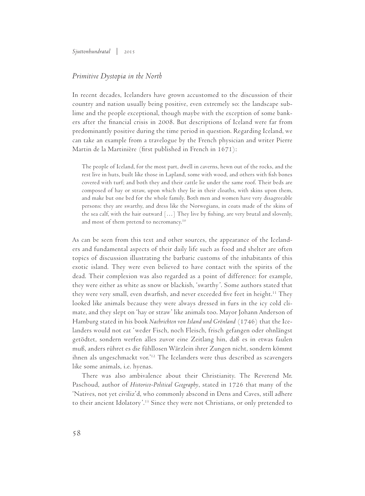# *Primitive Dystopia in the North*

In recent decades, Icelanders have grown accustomed to the discussion of their country and nation usually being positive, even extremely so: the landscape sublime and the people exceptional, though maybe with the exception of some bankers after the financial crisis in 2008. But descriptions of Iceland were far from predominantly positive during the time period in question. Regarding Iceland, we can take an example from a travelogue by the French physician and writer Pierre Martin de la Martinière (first published in French in 1671):

The people of Iceland, for the most part, dwell in caverns, hewn out of the rocks, and the rest live in huts, built like those in Lapland, some with wood, and others with fish bones covered with turf; and both they and their cattle lie under the same roof. Their beds are composed of hay or straw, upon which they lie in their cloaths, with skins upon them, and make but one bed for the whole family. Both men and women have very disagreeable persons: they are swarthy, and dress like the Norwegians, in coats made of the skins of the sea calf, with the hair outward  $\left[\ldots\right]$  They live by fishing, are very brutal and slovenly, and most of them pretend to necromancy.10

As can be seen from this text and other sources, the appearance of the Icelanders and fundamental aspects of their daily life such as food and shelter are often topics of discussion illustrating the barbaric customs of the inhabitants of this exotic island. They were even believed to have contact with the spirits of the dead. Their complexion was also regarded as a point of difference: for example, they were either as white as snow or blackish, 'swarthy'. Some authors stated that they were very small, even dwarfish, and never exceeded five feet in height.<sup>11</sup> They looked like animals because they were always dressed in furs in the icy cold climate, and they slept on 'hay or straw' like animals too. Mayor Johann Anderson of Hamburg stated in his book *Nachrichten von Island und Grönland* (1746) that the Icelanders would not eat 'weder Fisch, noch Fleisch, frisch gefangen oder ohnlängst getödtet, sondern werfen alles zuvor eine Zeitlang hin, daß es in etwas faulen muß, anders rühret es die fühllosen Wärzlein ihrer Zungen nicht, sondern kömmt ihnen als ungeschmackt vor.'12 The Icelanders were thus described as scavengers like some animals, i.e. hyenas.

There was also ambivalence about their Christianity. The Reverend Mr. Paschoud, author of *Historico-Political Geography*, stated in 1726 that many of the 'Natives, not yet civiliz'd, who commonly abscond in Dens and Caves, still adhere to their ancient Idolatory'.13 Since they were not Christians, or only pretended to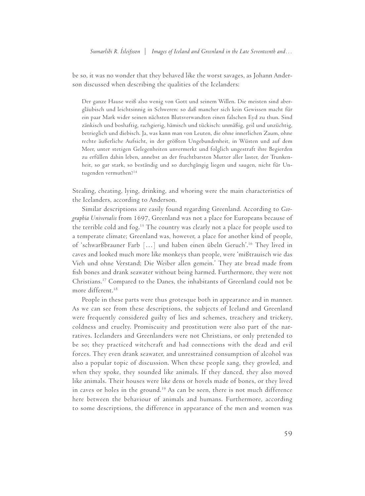be so, it was no wonder that they behaved like the worst savages, as Johann Anderson discussed when describing the qualities of the Icelanders:

Der ganze Hause weiß also wenig von Gott und seinem Willen. Die meisten sind abergläubisch und leichtsinnig in Schweren: so daß mancher sich kein Gewissen macht für ein paar Mark wider seinen nächsten Blutsverwandten einen falschen Eyd zu thun. Sind zänkisch und boshaftig, rachgierig, hämisch und tückisch: unmäßig, geil und unzüchtig, betrieglich und diebisch. Ja, was kann man von Leuten, die ohne innerlichen Zaum, ohne rechte äußerliche Aufsicht, in der größten Ungebundenheit, in Wüsten und auf dem Meer, unter stetigen Gelegenheiten unvermerkt und folglich ungestraft ihre Begierden zu erfüllen dahin leben, annebst an der fruchtbarsten Mutter aller laster, der Trunkenheit, so gar stark, so beständig und so durchgängig liegen und saugen, nicht für Untugenden vermuthen?14

Stealing, cheating, lying, drinking, and whoring were the main characteristics of the Icelanders, according to Anderson.

Similar descriptions are easily found regarding Greenland. According to *Geographia Universalis* from 1697, Greenland was not a place for Europeans because of the terrible cold and fog.<sup>15</sup> The country was clearly not a place for people used to a temperate climate; Greenland was, however, a place for another kind of people, of 'schwarßbrauner Farb […] und haben einen übeln Geruch'.16 They lived in caves and looked much more like monkeys than people, were 'mißtrauisch wie das Vieh und ohne Verstand; Die Weiber allen gemein.' They ate bread made from fish bones and drank seawater without being harmed. Furthermore, they were not Christians.17 Compared to the Danes, the inhabitants of Greenland could not be more different.<sup>18</sup>

People in these parts were thus grotesque both in appearance and in manner. As we can see from these descriptions, the subjects of Iceland and Greenland were frequently considered guilty of lies and schemes, treachery and trickery, coldness and cruelty. Promiscuity and prostitution were also part of the narratives. Icelanders and Greenlanders were not Christians, or only pretended to be so; they practiced witchcraft and had connections with the dead and evil forces. They even drank seawater, and unrestrained consumption of alcohol was also a popular topic of discussion. When these people sang, they growled, and when they spoke, they sounded like animals. If they danced, they also moved like animals. Their houses were like dens or hovels made of bones, or they lived in caves or holes in the ground.<sup>19</sup> As can be seen, there is not much difference here between the behaviour of animals and humans. Furthermore, according to some descriptions, the difference in appearance of the men and women was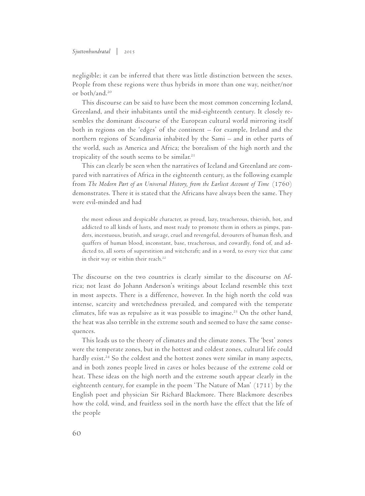negligible; it can be inferred that there was little distinction between the sexes. People from these regions were thus hybrids in more than one way, neither/nor or both/and.20

This discourse can be said to have been the most common concerning Iceland, Greenland, and their inhabitants until the mid-eighteenth century. It closely resembles the dominant discourse of the European cultural world mirroring itself both in regions on the 'edges' of the continent – for example, Ireland and the northern regions of Scandinavia inhabited by the Sami – and in other parts of the world, such as America and Africa; the borealism of the high north and the tropicality of the south seems to be similar.21

This can clearly be seen when the narratives of Iceland and Greenland are compared with narratives of Africa in the eighteenth century, as the following example from *The Modern Part of an Universal History, from the Earliest Account of Time* (1760) demonstrates. There it is stated that the Africans have always been the same. They were evil-minded and had

the most odious and despicable character, as proud, lazy, treacherous, thievish, hot, and addicted to all kinds of lusts, and most ready to promote them in others as pimps, panders, incestuous, brutish, and savage, cruel and revengeful, devourers of human flesh, and quaffers of human blood, inconstant, base, treacherous, and cowardly, fond of, and addicted to, all sorts of superstition and witchcraft; and in a word, to every vice that came in their way or within their reach.<sup>22</sup>

The discourse on the two countries is clearly similar to the discourse on Africa; not least do Johann Anderson's writings about Iceland resemble this text in most aspects. There is a difference, however. In the high north the cold was intense, scarcity and wretchedness prevailed, and compared with the temperate climates, life was as repulsive as it was possible to imagine.<sup>23</sup> On the other hand, the heat was also terrible in the extreme south and seemed to have the same consequences.

This leads us to the theory of climates and the climate zones. The 'best' zones were the temperate zones, but in the hottest and coldest zones, cultural life could hardly exist.<sup>24</sup> So the coldest and the hottest zones were similar in many aspects, and in both zones people lived in caves or holes because of the extreme cold or heat. These ideas on the high north and the extreme south appear clearly in the eighteenth century, for example in the poem 'The Nature of Man' (1711) by the English poet and physician Sir Richard Blackmore. There Blackmore describes how the cold, wind, and fruitless soil in the north have the effect that the life of the people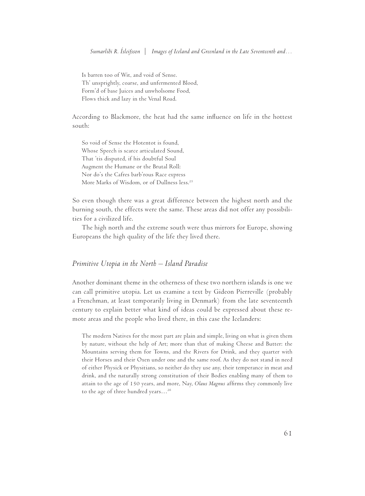Is barren too of Wit, and void of Sense. Th' unsprightly, coarse, and unfermented Blood, Form'd of base Juices and unwholsome Food, Flows thick and lazy in the Venal Road.

According to Blackmore, the heat had the same influence on life in the hottest south:

So void of Sense the Hotentot is found, Whose Speech is scarce articulated Sound, That 'tis disputed, if his doubtful Soul Augment the Humane or the Brutal Roll: Nor do's the Cafres barb'rous Race express More Marks of Wisdom, or of Dullness less.25

So even though there was a great difference between the highest north and the burning south, the effects were the same. These areas did not offer any possibilities for a civilized life.

The high north and the extreme south were thus mirrors for Europe, showing Europeans the high quality of the life they lived there.

# *Primitive Utopia in the North – Island Paradise*

Another dominant theme in the otherness of these two northern islands is one we can call primitive utopia. Let us examine a text by Gideon Pierreville (probably a Frenchman, at least temporarily living in Denmark) from the late seventeenth century to explain better what kind of ideas could be expressed about these remote areas and the people who lived there, in this case the Icelanders:

The modern Natives for the most part are plain and simple, living on what is given them by nature, without the help of Art; more than that of making Cheese and Butter: the Mountains serving them for Towns, and the Rivers for Drink, and they quarter with their Horses and their Oxen under one and the same roof. As they do not stand in need of either Physick or Physitians, so neither do they use any, their temperance in meat and drink, and the naturally strong constitution of their Bodies enabling many of them to attain to the age of 150 years, and more, Nay, *Olaus Magnus* affirms they commonly live to the age of three hundred years…26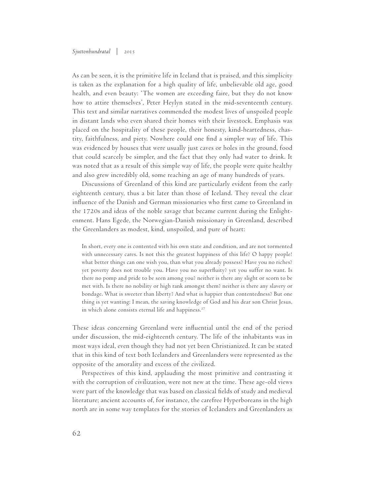As can be seen, it is the primitive life in Iceland that is praised, and this simplicity is taken as the explanation for a high quality of life, unbelievable old age, good health, and even beauty: 'The women are exceeding faire, but they do not know how to attire themselves', Peter Heylyn stated in the mid-seventeenth century. This text and similar narratives commended the modest lives of unspoiled people in distant lands who even shared their homes with their livestock. Emphasis was placed on the hospitality of these people, their honesty, kind-heartedness, chastity, faithfulness, and piety. Nowhere could one find a simpler way of life. This was evidenced by houses that were usually just caves or holes in the ground, food that could scarcely be simpler, and the fact that they only had water to drink. It was noted that as a result of this simple way of life, the people were quite healthy and also grew incredibly old, some reaching an age of many hundreds of years.

Discussions of Greenland of this kind are particularly evident from the early eighteenth century, thus a bit later than those of Iceland. They reveal the clear influence of the Danish and German missionaries who first came to Greenland in the 1720s and ideas of the noble savage that became current during the Enlightenment. Hans Egede, the Norwegian-Danish missionary in Greenland, described the Greenlanders as modest, kind, unspoiled, and pure of heart:

In short, every one is contented with his own state and condition, and are not tormented with unnecessary cares. Is not this the greatest happiness of this life? O happy people! what better things can one wish you, than what you already possess? Have you no riches? yet poverty does not trouble you. Have you no superfluity? yet you suffer no want. Is there no pomp and pride to be seen among you? neither is there any slight or scorn to be met with. Is there no nobility or high rank amongst them? neither is there any slavery or bondage. What is sweeter than liberty? And what is happier than contentedness? But one thing is yet wanting: I mean, the saving knowledge of God and his dear son Christ Jesus, in which alone consists eternal life and happiness.<sup>27</sup>

These ideas concerning Greenland were influential until the end of the period under discussion, the mid-eighteenth century. The life of the inhabitants was in most ways ideal, even though they had not yet been Christianized. It can be stated that in this kind of text both Icelanders and Greenlanders were represented as the opposite of the amorality and excess of the civilized.

Perspectives of this kind, applauding the most primitive and contrasting it with the corruption of civilization, were not new at the time. These age-old views were part of the knowledge that was based on classical fields of study and medieval literature; ancient accounts of, for instance, the carefree Hyperboreans in the high north are in some way templates for the stories of Icelanders and Greenlanders as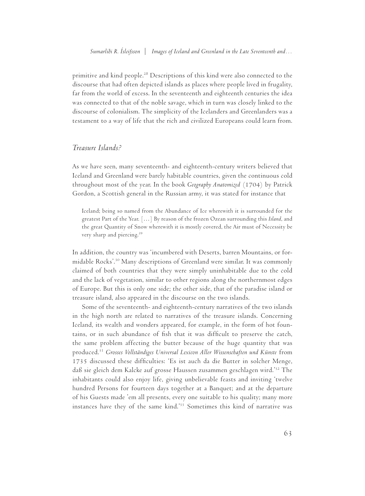primitive and kind people.<sup>28</sup> Descriptions of this kind were also connected to the discourse that had often depicted islands as places where people lived in frugality, far from the world of excess. In the seventeenth and eighteenth centuries the idea was connected to that of the noble savage, which in turn was closely linked to the discourse of colonialism. The simplicity of the Icelanders and Greenlanders was a testament to a way of life that the rich and civilized Europeans could learn from.

# *Treasure Islands?*

As we have seen, many seventeenth- and eighteenth-century writers believed that Iceland and Greenland were barely habitable countries, given the continuous cold throughout most of the year. In the book *Geography Anatomized* (1704) by Patrick Gordon, a Scottish general in the Russian army, it was stated for instance that

Iceland; being so named from the Abundance of Ice wherewith it is surrounded for the greatest Part of the Year. […] By reason of the frozen Ozean surrounding this *Island*, and the great Quantity of Snow wherewith it is mostly covered, the Air must of Necessity be very sharp and piercing.<sup>29</sup>

In addition, the country was 'incumbered with Deserts, barren Mountains, or formidable Rocks'.30 Many descriptions of Greenland were similar. It was commonly claimed of both countries that they were simply uninhabitable due to the cold and the lack of vegetation, similar to other regions along the northernmost edges of Europe. But this is only one side; the other side, that of the paradise island or treasure island, also appeared in the discourse on the two islands.

Some of the seventeenth- and eighteenth-century narratives of the two islands in the high north are related to narratives of the treasure islands. Concerning Iceland, its wealth and wonders appeared, for example, in the form of hot fountains, or in such abundance of fish that it was difficult to preserve the catch, the same problem affecting the butter because of the huge quantity that was produced.31 *Grosses Vollständiges Universal Lexicon Aller Wissenschaften und Künste* from 1735 discussed these difficulties: 'Es ist auch da die Butter in solcher Menge, daß sie gleich dem Kalcke auf grosse Haussen zusammen geschlagen wird.'32 The inhabitants could also enjoy life, giving unbelievable feasts and inviting 'twelve hundred Persons for fourteen days together at a Banquet; and at the departure of his Guests made 'em all presents, every one suitable to his quality; many more instances have they of the same kind.'33 Sometimes this kind of narrative was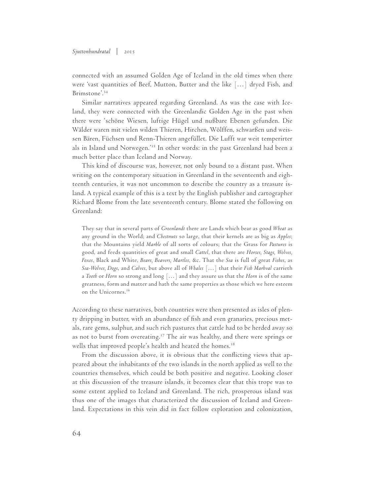connected with an assumed Golden Age of Iceland in the old times when there were 'vast quantities of Beef, Mutton, Butter and the like […] dryed Fish, and Brimstone'.34

Similar narratives appeared regarding Greenland. As was the case with Iceland, they were connected with the Greenlandic Golden Age in the past when there were 'schöne Wiesen, luftige Hügel und nußbare Ebenen gefunden. Die Wälder waren mit vielen wilden Thieren, Hirchen, Wölffen, schwarßen und weissen Bären, Füchsen und Renn-Thieren angefüllet. Die Lufft war weit temperirter als in Island und Norwegen.'35 In other words: in the past Greenland had been a much better place than Iceland and Norway.

This kind of discourse was, however, not only bound to a distant past. When writing on the contemporary situation in Greenland in the seventeenth and eighteenth centuries, it was not uncommon to describe the country as a treasure island. A typical example of this is a text by the English publisher and cartographer Richard Blome from the late seventeenth century. Blome stated the following on Greenland:

They say that in several parts of *Groenlandt* there are Lands which bear as good *Wheat* as any ground in the World; and *Chestnuts* so large, that their kernels are as big as *Apples*; that the Mountains yield *Marble* of all sorts of colours; that the Grass for *Pastures* is good, and feeds quantities of great and small *Cattel*, that there are *Horses, Stags, Wolves, Foxes*, Black and White, *Bears, Beavers, Martles*, &c. That the *Sea* is full of great *Fishes*, as *Sea-Wolves, Dogs*, and *Calves*, but above all of *Whales* […] that their *Fish Marhval* carrieth a *Tooth* or *Horn* so strong and long […] and they assure us that the *Horn* is of the same greatness, form and matter and hath the same properties as those which we here esteem on the Unicornes.36

According to these narratives, both countries were then presented as isles of plenty dripping in butter, with an abundance of fish and even granaries, precious metals, rare gems, sulphur, and such rich pastures that cattle had to be herded away so as not to burst from overeating.<sup>37</sup> The air was healthy, and there were springs or wells that improved people's health and heated the homes.<sup>38</sup>

From the discussion above, it is obvious that the conflicting views that appeared about the inhabitants of the two islands in the north applied as well to the countries themselves, which could be both positive and negative. Looking closer at this discussion of the treasure islands, it becomes clear that this trope was to some extent applied to Iceland and Greenland. The rich, prosperous island was thus one of the images that characterized the discussion of Iceland and Greenland. Expectations in this vein did in fact follow exploration and colonization,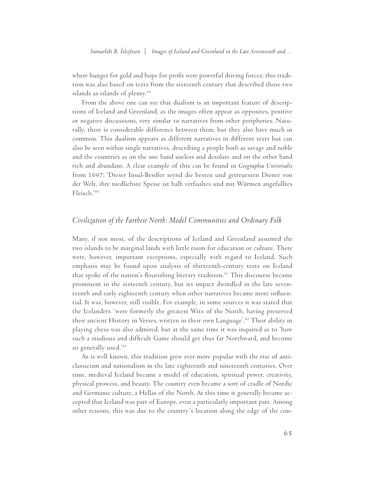where hunger for gold and hope for profit were powerful driving forces; this tradition was also based on texts from the sixteenth century that described those two islands as islands of plenty.<sup>39</sup>

From the above one can see that dualism is an important feature of descriptions of Iceland and Greenland, as the images often appear as opposites, positive or negative discussions, very similar to narratives from other peripheries. Naturally, there is considerable difference between them, but they also have much in common. This dualism appears as different narratives in different texts but can also be seen within single narratives, describing a people both as savage and noble and the countries as on the one hand useless and desolate and on the other hand rich and abundant. A clear example of this can be found in *Geographia Universalis*  from 1697: 'Dieser Insul-Besißer seynd die besten und getreuesten Diener von der Welt, ihre niedlichste Speise ist halb verfaultes und mit Würmen angefulltes Fleisch.'40

# *Civilization of the Farthest North: Model Communities and Ordinary Folk*

Many, if not most, of the descriptions of Iceland and Greenland assumed the two islands to be marginal lands with little room for education or culture. There were, however, important exceptions, especially with regard to Iceland. Such emphasis may be found upon analysis of thirteenth-century texts on Iceland that spoke of the nation's flourishing literary tradition.<sup>41</sup> This discourse became prominent in the sixteenth century, but its impact dwindled in the late seventeenth and early eighteenth century when other narratives became more influential. It was, however, still visible. For example, in some sources it was stated that the Icelanders 'were formerly the greatest Wits of the North, having preserved their ancient History in Verses, written in their own Language'.42 Their ability in playing chess was also admired, but at the same time it was inquired as to 'how such a studious and difficult Game should get thus far Northward, and become so generally used.'43

As is well known, this tradition grew ever more popular with the rise of anticlassicism and nationalism in the late eighteenth and nineteenth centuries. Over time, medieval Iceland became a model of education, spiritual power, creativity, physical prowess, and beauty. The country even became a sort of cradle of Nordic and Germanic culture, a Hellas of the North. At this time it generally became accepted that Iceland was part of Europe, even a particularly important part. Among other reasons, this was due to the country's location along the edge of the con-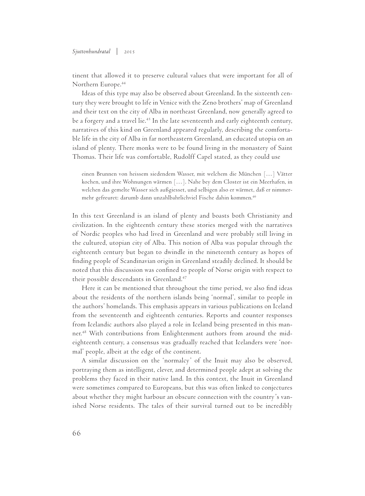tinent that allowed it to preserve cultural values that were important for all of Northern Europe.44

Ideas of this type may also be observed about Greenland. In the sixteenth century they were brought to life in Venice with the Zeno brothers' map of Greenland and their text on the city of Alba in northeast Greenland, now generally agreed to be a forgery and a travel lie.<sup>45</sup> In the late seventeenth and early eighteenth century, narratives of this kind on Greenland appeared regularly, describing the comfortable life in the city of Alba in far northeastern Greenland, an educated utopia on an island of plenty. There monks were to be found living in the monastery of Saint Thomas. Their life was comfortable, Rudolff Capel stated, as they could use

einen Brunnen von heissem siedendem Wasser, mit welchem die München […] Vätter kochen, und ihre Wohnungen wärmen […]. Nahe bey dem Closter ist ein Meerhafen, in welchen das gemelte Wasser sich außgiesset, und selbigen also er wärmet, daß er nimmermehr gefreuret: darumb dann unzahlbahrlichviel Fische dahin kommen.46

In this text Greenland is an island of plenty and boasts both Christianity and civilization. In the eighteenth century these stories merged with the narratives of Nordic peoples who had lived in Greenland and were probably still living in the cultured, utopian city of Alba. This notion of Alba was popular through the eighteenth century but began to dwindle in the nineteenth century as hopes of finding people of Scandinavian origin in Greenland steadily declined. It should be noted that this discussion was confined to people of Norse origin with respect to their possible descendants in Greenland.47

Here it can be mentioned that throughout the time period, we also find ideas about the residents of the northern islands being 'normal', similar to people in the authors' homelands. This emphasis appears in various publications on Iceland from the seventeenth and eighteenth centuries. Reports and counter responses from Icelandic authors also played a role in Iceland being presented in this manner.48 With contributions from Enlightenment authors from around the mideighteenth century, a consensus was gradually reached that Icelanders were 'normal' people, albeit at the edge of the continent.

A similar discussion on the 'normalcy' of the Inuit may also be observed, portraying them as intelligent, clever, and determined people adept at solving the problems they faced in their native land. In this context, the Inuit in Greenland were sometimes compared to Europeans, but this was often linked to conjectures about whether they might harbour an obscure connection with the country's vanished Norse residents. The tales of their survival turned out to be incredibly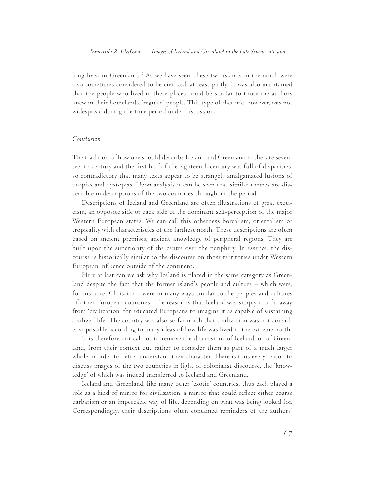long-lived in Greenland.<sup>49</sup> As we have seen, these two islands in the north were also sometimes considered to be civilized, at least partly. It was also maintained that the people who lived in these places could be similar to those the authors knew in their homelands, 'regular' people. This type of rhetoric, however, was not widespread during the time period under discussion.

# *Conclusion*

The tradition of how one should describe Iceland and Greenland in the late seventeenth century and the first half of the eighteenth century was full of disparities, so contradictory that many texts appear to be strangely amalgamated fusions of utopias and dystopias. Upon analysis it can be seen that similar themes are discernible in descriptions of the two countries throughout the period.

Descriptions of Iceland and Greenland are often illustrations of great exoticism, an opposite side or back side of the dominant self-perception of the major Western European states. We can call this otherness borealism, orientalism or tropicality with characteristics of the farthest north. These descriptions are often based on ancient premises, ancient knowledge of peripheral regions. They are built upon the superiority of the centre over the periphery. In essence, the discourse is historically similar to the discourse on those territories under Western European influence outside of the continent.

Here at last can we ask why Iceland is placed in the same category as Greenland despite the fact that the former island's people and culture – which were, for instance, Christian – were in many ways similar to the peoples and cultures of other European countries. The reason is that Iceland was simply too far away from 'civilization' for educated Europeans to imagine it as capable of sustaining civilized life. The country was also so far north that civilization was not considered possible according to many ideas of how life was lived in the extreme north.

It is therefore critical not to remove the discussions of Iceland, or of Greenland, from their context but rather to consider them as part of a much larger whole in order to better understand their character. There is thus every reason to discuss images of the two countries in light of colonialist discourse, the 'knowledge' of which was indeed transferred to Iceland and Greenland.

Iceland and Greenland, like many other 'exotic' countries, thus each played a role as a kind of mirror for civilization, a mirror that could reflect either coarse barbarism or an impeccable way of life, depending on what was being looked for. Correspondingly, their descriptions often contained reminders of the authors'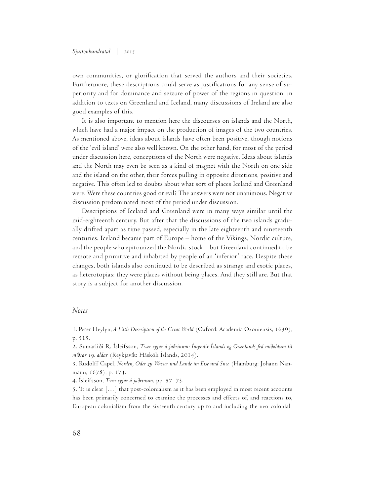own communities, or glorification that served the authors and their societies. Furthermore, these descriptions could serve as justifications for any sense of superiority and for dominance and seizure of power of the regions in question; in addition to texts on Greenland and Iceland, many discussions of Ireland are also good examples of this.

It is also important to mention here the discourses on islands and the North, which have had a major impact on the production of images of the two countries. As mentioned above, ideas about islands have often been positive, though notions of the 'evil island' were also well known. On the other hand, for most of the period under discussion here, conceptions of the North were negative. Ideas about islands and the North may even be seen as a kind of magnet with the North on one side and the island on the other, their forces pulling in opposite directions, positive and negative. This often led to doubts about what sort of places Iceland and Greenland were. Were these countries good or evil? The answers were not unanimous. Negative discussion predominated most of the period under discussion.

Descriptions of Iceland and Greenland were in many ways similar until the mid-eighteenth century. But after that the discussions of the two islands gradually drifted apart as time passed, especially in the late eighteenth and nineteenth centuries. Iceland became part of Europe – home of the Vikings, Nordic culture, and the people who epitomized the Nordic stock – but Greenland continued to be remote and primitive and inhabited by people of an 'inferior' race. Despite these changes, both islands also continued to be described as strange and exotic places, as heterotopias: they were places without being places. And they still are. But that story is a subject for another discussion.

## *Notes*

1. Peter Heylyn, *A Little Description of the Great World* (Oxford: Academia Oxoniensis, 1639), p. 515.

2. Sumarliði R. Ísleifsson, *Tvær eyjar á jaðrinum: Ímyndir Íslands og Grænlands frá miðöldum til miðrar 19. aldar* (Reykjavík: Háskóli Íslands, 2014).

4. Ísleifsson, *Tvær eyjar á jaðrinum*, pp. 57–73.

5. 'It is clear […] that post-colonialism as it has been employed in most recent accounts has been primarily concerned to examine the processes and effects of, and reactions to, European colonialism from the sixteenth century up to and including the neo-colonial-

<sup>3.</sup> Rudolff Capel, *Norden, Oder zu Wasser und Lande im Eise und Snee* (Hamburg: Johann Nanmann, 1678), p. 174.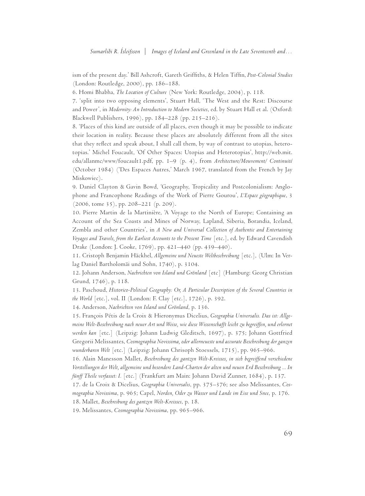ism of the present day.' Bill Ashcroft, Gareth Griffiths, & Helen Tiffin, *Post-Colonial Studies* (London: Routledge, 2000), pp. 186–188.

6. Homi Bhabha, *The Location of Culture* (New York: Routledge, 2004), p. 118.

7. 'split into two opposing elements', Stuart Hall, 'The West and the Rest: Discourse and Power', in *Modernity: An Introduction to Modern Societies*, ed. by Stuart Hall et al. (Oxford: Blackwell Publishers, 1996), pp. 184–228 (pp. 215–216).

8. 'Places of this kind are outside of all places, even though it may be possible to indicate their location in reality. Because these places are absolutely different from all the sites that they reflect and speak about, I shall call them, by way of contrast to utopias, heterotopias.' Michel Foucault, 'Of Other Spaces: Utopias and Heterotopias', http://web.mit. edu/allanmc/www/foucault1.pdf, pp. 1–9 (p. 4), from *Architecture/Mouvement/ Continuité* (October 1984) ('Des Espaces Autres,' March 1967, translated from the French by Jay Miskowiec).

9. Daniel Clayton & Gavin Bowd, 'Geography, Tropicality and Postcolonialism: Anglophone and Francophone Readings of the Work of Pierre Gourou', *L'Espace géographique*, 3 (2006, tome 35), pp. 208–221 (p. 209).

10. Pierre Martin de la Martinière, 'A Voyage to the North of Europe; Containing an Account of the Sea Coasts and Mines of Norway, Lapland, Siberia, Borandia, Iceland, Zembla and other Countries', in *A New and Universal Collection of Authentic and Entertaining Voyages and Travels, from the Earliest Accounts to the Present Time* [etc.], ed. by Edward Cavendish Drake (London: J. Cooke, 1769), pp. 421–440 (pp. 439–440).

11. Cristoph Benjamin Häckhel, *Allgemeine und Neueste Weltbeschreibung* [etc.], (Ulm: In Verlag Daniel Bartholomäi und Sohn, 1740), p. 3104.

12. Johann Anderson, *Nachrichten von Island und Grönland* [etc] (Hamburg: Georg Christian Grund, 1746), p. 118.

13. Paschoud, *Historico-Political Geography: Or, A Particular Description of the Several Countries in the World* [etc.], vol. II (London: F. Clay [etc.], 1726), p. 392.

14. Anderson, *Nachrichten von Island und Grönland*, p. 136.

15. François Pétis de la Croix & Hieronymus Dicelius, *Geographia Universalis. Das ist: Allgemeine Welt-Beschreibung nach neuer Art und Weise, wie diese Wissenschafft leicht zu begreiffen, und erlernet werden kan* [etc.] (Leipzig: Johann Ludwig Gleditsch, 1697), p. 375; Johann Gottfried Gregorii Melissantes, *Cosmographia Novissima, oder allerneueste und accurate Beschreibung der ganzen wunderbaren Welt* [etc.] (Leipzig: Johann Chrisoph Stoessels, 1715), pp. 965–966.

16. Alain Manesson Mallet, *Beschreibung des gantzen Welt-Kreisses, in sich begreiffend verschiedene Vorstellungen der Welt, allgemeine und besondere Land-Charten der alten und neuen Erd Beschreibung ... In fünff Theile verfasset: I.* [etc.] (Frankfurt am Main: Johann David Zunner, 1684), p. 137.

17. de la Croix & Dicelius, *Geographia Universalis*, pp. 375–376; see also Melissantes, *Cosmographia Novissima*, p. 965; Capel, *Norden, Oder zu Wasser und Lande im Eise und Snee*, p. 176. 18. Mallet, *Beschreibung des gantzen Welt-Kreisses*, p. 18.

19. Melissantes, *Cosmographia Novissima*, pp. 965–966.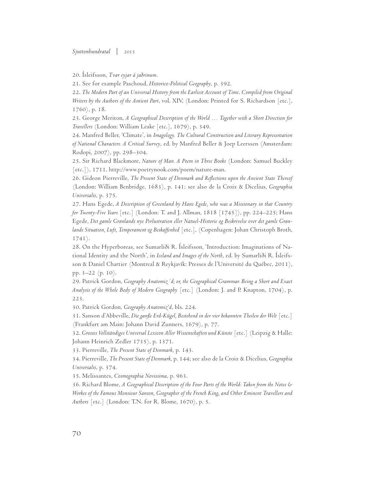20. Ísleifsson, *Tvær eyjar á jaðrinum*.

21. See for example Paschoud, *Historico-Political Geography*, p. 392.

22. *The Modern Part of an Universal History from the Earliest Account of Time*. *Compiled from Original Writers by the Authors of the Antient Part*, vol. XIV, (London: Printed for S. Richardson [etc.], 1760), p. 18.

23. George Meriton, *A Geographical Description of the World … Together with a Short Direction for Travellers* (London: William Leake [etc.], 1679), p. 349.

24. Manfred Beller, 'Climate', in *Imagology. The Cultural Construction and Literary Representation of National Characters. A Critical Survey*, ed. by Manfred Beller & Joep Leerssen (Amsterdam: Rodopi, 2007), pp. 298–304.

25. Sir Richard Blackmore, *Nature of Man. A Poem in Three Books* (London: Samuel Buckley [etc.]), 1711, http://www.poetrynook.com/poem/nature-man.

26. Gideon Pierreville, *The Present State of Denmark and Reflections upon the Ancient State Thereof* (London: William Benbridge, 1683), p. 141; see also de la Croix & Dicelius, *Geographia Universalis*, p. 375.

27. Hans Egede, *A Description of Greenland by Hans Egede, who was a Missionary in that Country for Twenty-Five Years* [etc.] (London: T. and J. Allman, 1818 [1745]), pp. 224–225; Hans Egede, *Det gamle Grønlands nye Perlustration eller Natuel-Historie og Beskrivelse over det gamle Grønlands Situation, Luft, Temperament og Beskaffenhed* [etc.], (Copenhagen: Johan Christoph Broth, 1741).

28. On the Hyperboreas, see Sumarliði R. Ísleifsson, 'Introduction: Imaginations of National Identity and the North', in *Iceland and Images of the North*, ed. by Sumarliði R. Ísleifsson & Daniel Chartier (Montreal & Reykjavík: Presses de l'Université du Québec, 2011), pp. 3–22 (p. 10).

29. Patrick Gordon, *Geography Anatomiz´d; or, the Geographical Grammar. Being a Short and Exact Analysis of the Whole Body of Modern Geography* [etc.] (London: J. and P. Knapton, 1704), p. 223.

30. Patrick Gordon, *Geography Anatomiz'd*, bls. 224.

31. Sanson d'Abbeville, *Die ganße Erd-Kügel, Bestehend in der vier bekannten Theilen der Welt* [etc.] (Frankfurt am Main: Johann David Zunners, 1679), p. 77.

32. *Grosses Vollständiges Universal Lexicon Aller Wissenschaften und Künste* [etc.] (Leipzig & Halle: Johann Heinrich Zedler 1735), p. 1371.

33. Pierreville, *The Present State of Denmark*, p. 143.

34. Pierreville, *The Present State of Denmark*, p. 144; see also de la Croix & Dicelius, *Geographia Universalis*, p. 374.

35. Melissantes, *Cosmographia Novissima*, p. 963.

36. Richard Blome, *A Geographical Description of the Four Parts of the World: Taken from the Notes & Workes of the Famous Monsieur Sanson, Geographer of the French King, and Other Eminent Travellers and Authors* [etc.] (London: T.N. for R. Blome, 1670), p. 5.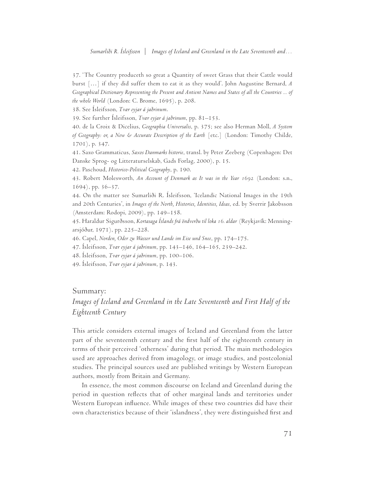37. 'The Country produceth so great a Quantity of sweet Grass that their Cattle would burst […] if they did suffer them to eat it as they would'. John Augustine Bernard, *A Geographical Dictionary Representing the Present and Antient Names and States of all the Countries ... of the whole World* (London: C. Brome, 1695), p. 208.

38. See Ísleifsson, *Tvær eyjar á jaðrinum*.

39. See further Ísleifsson, *Tvær eyjar á jaðrinum*, pp. 81–153.

40. de la Croix & Dicelius, *Geographia Universalis*, p. 375; see also Herman Moll, *A System of Geography: or, a New & Accurate Description of the Earth* [etc.] (London: Timothy Childe, 1701), p. 347.

41. Saxo Grammaticus, *Saxos Danmarks historie*, transl. by Peter Zeeberg (Copenhagen: Det Danske Sprog- og Litteraturselskab, Gads Forlag, 2000), p. 15.

42. Paschoud, *Historico-Political Geography*, p. 190.

43. Robert Molesworth, *An Account of Denmark as It was in the Year 1692* (London: s.n., 1694), pp. 36–37.

44. On the matter see Sumarliði R. Ísleifsson, 'Icelandic National Images in the 19th and 20th Centuries', in *Images of the North, Histories, Identities, Ideas*, ed. by Sverrir Jakobsson (Amsterdam: Rodopi, 2009), pp. 149–158.

45. Haraldur Sigurðsson, *Kortasaga Íslands frá öndverðu til loka 16. aldar* (Reykjavík: Menningarsjóður, 1971), pp. 225–228.

46. Capel, *Norden, Oder zu Wasser und Lande im Eise und Snee*, pp. 174–175.

47. Ísleifsson, *Tvær eyjar á jaðrinum*, pp. 143–146, 164–165, 239–242.

48. Ísleifsson, *Tvær eyjar á jaðrinum*, pp. 100–106.

49. Ísleifsson, *Tvær eyjar á jaðrinum*, p. 143.

### Summary:

# *Images of Iceland and Greenland in the Late Seventeenth and First Half of the Eighteenth Century*

This article considers external images of Iceland and Greenland from the latter part of the seventeenth century and the first half of the eighteenth century in terms of their perceived 'otherness' during that period. The main methodologies used are approaches derived from imagology, or image studies, and postcolonial studies. The principal sources used are published writings by Western European authors, mostly from Britain and Germany.

In essence, the most common discourse on Iceland and Greenland during the period in question reflects that of other marginal lands and territories under Western European influence. While images of these two countries did have their own characteristics because of their 'islandness', they were distinguished first and